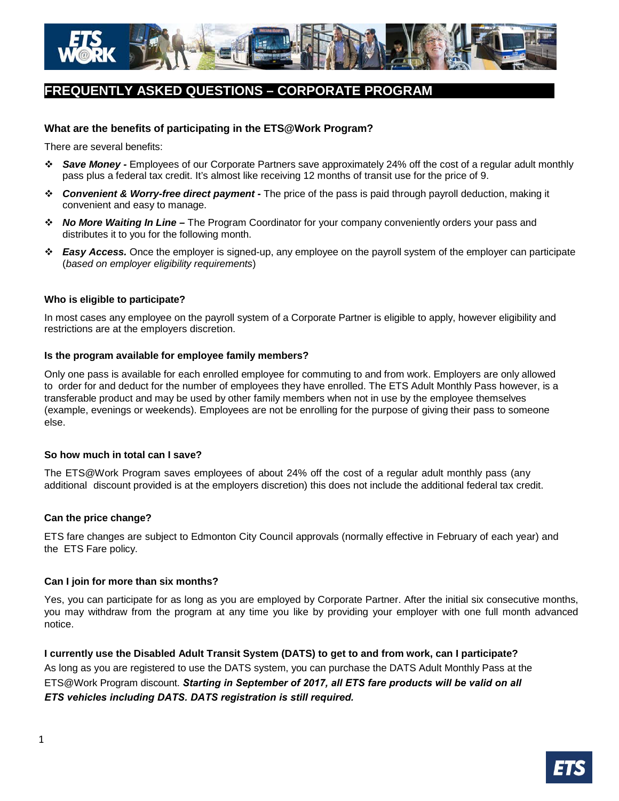

# **FREQUENTLY ASKED QUESTIONS – CORPORATE PROGRAM**

# **What are the benefits of participating in the ETS@Work Program?**

There are several benefits:

- *Save Money* Employees of our Corporate Partners save approximately 24% off the cost of a regular adult monthly pass plus a federal tax credit. It's almost like receiving 12 months of transit use for the price of 9.
- *Convenient & Worry-free direct payment* The price of the pass is paid through payroll deduction, making it convenient and easy to manage.
- *No More Waiting In Line* The Program Coordinator for your company conveniently orders your pass and distributes it to you for the following month.
- *Easy Access.* Once the employer is signed-up, any employee on the payroll system of the employer can participate (*based on employer eligibility requirements*)

## **Who is eligible to participate?**

In most cases any employee on the payroll system of a Corporate Partner is eligible to apply, however eligibility and restrictions are at the employers discretion.

## **Is the program available for employee family members?**

Only one pass is available for each enrolled employee for commuting to and from work. Employers are only allowed to order for and deduct for the number of employees they have enrolled. The ETS Adult Monthly Pass however, is a transferable product and may be used by other family members when not in use by the employee themselves (example, evenings or weekends). Employees are not be enrolling for the purpose of giving their pass to someone else.

## **So how much in total can I save?**

The ETS@Work Program saves employees of about 24% off the cost of a regular adult monthly pass (any additional discount provided is at the employers discretion) this does not include the additional federal tax credit.

## **Can the price change?**

ETS fare changes are subject to Edmonton City Council approvals (normally effective in February of each year) and the ETS Fare policy.

## **Can I join for more than six months?**

Yes, you can participate for as long as you are employed by Corporate Partner. After the initial six consecutive months, you may withdraw from the program at any time you like by providing your employer with one full month advanced notice.

**I currently use the Disabled Adult Transit System (DATS) to get to and from work, can I participate?** As long as you are registered to use the DATS system, you can purchase the DATS Adult Monthly Pass at the ETS@Work Program discount. *Starting in September of 2017, all ETS fare products will be valid on all ETS vehicles including DATS. DATS registration is still required.*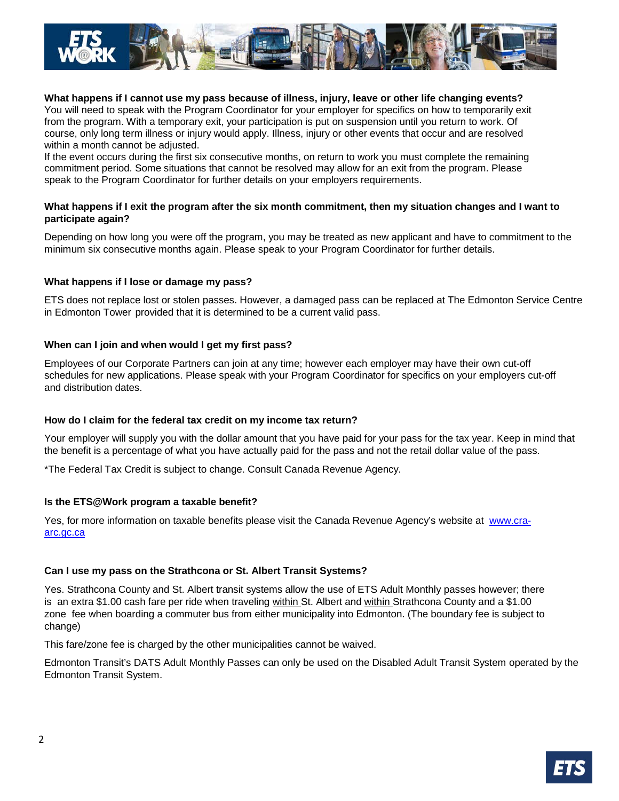

## **What happens if I cannot use my pass because of illness, injury, leave or other life changing events?**

You will need to speak with the Program Coordinator for your employer for specifics on how to temporarily exit from the program. With a temporary exit, your participation is put on suspension until you return to work. Of course, only long term illness or injury would apply. Illness, injury or other events that occur and are resolved within a month cannot be adjusted.

If the event occurs during the first six consecutive months, on return to work you must complete the remaining commitment period. Some situations that cannot be resolved may allow for an exit from the program. Please speak to the Program Coordinator for further details on your employers requirements.

## **What happens if I exit the program after the six month commitment, then my situation changes and I want to participate again?**

Depending on how long you were off the program, you may be treated as new applicant and have to commitment to the minimum six consecutive months again. Please speak to your Program Coordinator for further details.

## **What happens if I lose or damage my pass?**

ETS does not replace lost or stolen passes. However, a damaged pass can be replaced at The Edmonton Service Centre in Edmonton Tower provided that it is determined to be a current valid pass.

## **When can I join and when would I get my first pass?**

Employees of our Corporate Partners can join at any time; however each employer may have their own cut-off schedules for new applications. Please speak with your Program Coordinator for specifics on your employers cut-off and distribution dates.

## **How do I claim for the federal tax credit on my income tax return?**

Your employer will supply you with the dollar amount that you have paid for your pass for the tax year. Keep in mind that the benefit is a percentage of what you have actually paid for the pass and not the retail dollar value of the pass.

\*The Federal Tax Credit is subject to change. Consult Canada Revenue Agency.

#### **Is the ETS@Work program a taxable benefit?**

Yes, for more information on taxable benefits please visit the Canada Revenue Agency's website at [www.cra](http://www.cra-arc.gc.ca/)[arc.gc.ca](http://www.cra-arc.gc.ca/)

## **Can I use my pass on the Strathcona or St. Albert Transit Systems?**

Yes. Strathcona County and St. Albert transit systems allow the use of ETS Adult Monthly passes however; there is an extra \$1.00 cash fare per ride when traveling within St. Albert and within Strathcona County and a \$1.00 zone fee when boarding a commuter bus from either municipality into Edmonton. (The boundary fee is subject to change)

This fare/zone fee is charged by the other municipalities cannot be waived.

Edmonton Transit's DATS Adult Monthly Passes can only be used on the Disabled Adult Transit System operated by the Edmonton Transit System.